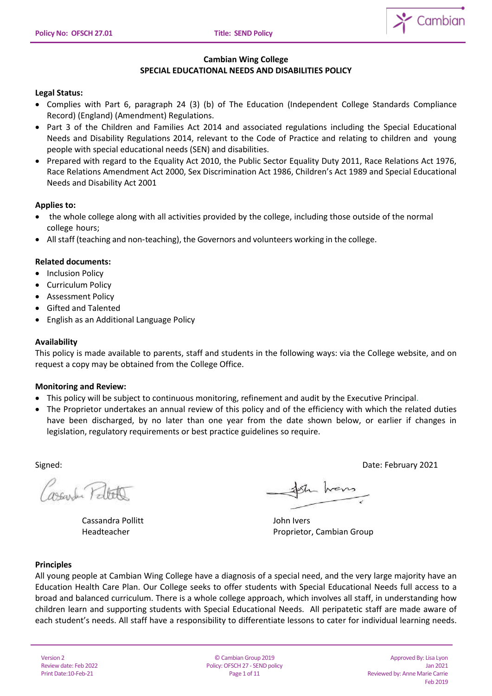

#### **Cambian Wing College SPECIAL EDUCATIONAL NEEDS AND DISABILITIES POLICY**

## **Legal Status:**

- Complies with Part 6, paragraph 24 (3) (b) of The Education (Independent College Standards Compliance Record) (England) (Amendment) Regulations.
- Part 3 of the Children and Families Act 2014 and associated regulations including the Special Educational Needs and Disability Regulations 2014, relevant to the Code of Practice and relating to children and young people with special educational needs (SEN) and disabilities.
- Prepared with regard to the Equality Act 2010, the Public Sector Equality Duty 2011, Race Relations Act 1976, Race Relations Amendment Act 2000, Sex Discrimination Act 1986, Children's Act 1989 and Special Educational Needs and Disability Act 2001

## **Applies to:**

- the whole college along with all activities provided by the college, including those outside of the normal college hours;
- All staff (teaching and non‐teaching), the Governors and volunteers working in the college.

## **Related documents:**

- Inclusion Policy
- Curriculum Policy
- Assessment Policy
- Gifted and Talented
- English as an Additional Language Policy

#### **Availability**

This policy is made available to parents, staff and students in the following ways: via the College website, and on request a copy may be obtained from the College Office.

#### **Monitoring and Review:**

- This policy will be subject to continuous monitoring, refinement and audit by the Executive Principal.
- The Proprietor undertakes an annual review of this policy and of the efficiency with which the related duties have been discharged, by no later than one year from the date shown below, or earlier if changes in legislation, regulatory requirements or best practice guidelines so require.

Signed: Date: February 2021

seconder Patrick

Cassandra Pollitt **Cassandra Pollitt** Cassandra Pollitt **John Ivers** 

Sh hans

Headteacher **Proprietor, Cambian Group** 

#### **Principles**

All young people at Cambian Wing College have a diagnosis of a special need, and the very large majority have an Education Health Care Plan. Our College seeks to offer students with Special Educational Needs full access to a broad and balanced curriculum. There is a whole college approach, which involves all staff, in understanding how children learn and supporting students with Special Educational Needs. All peripatetic staff are made aware of each student's needs. All staff have a responsibility to differentiate lessons to cater for individual learning needs.

Version 2 Review date: Feb 2022 Print Date:10-Feb-21

© Cambian Group 2019 Policy: OFSCH 27 - SEND policy Page 1 of 11

Approved By: Lisa Lyon Jan 2021 Reviewed by: Anne Marie Carrie Feb 2019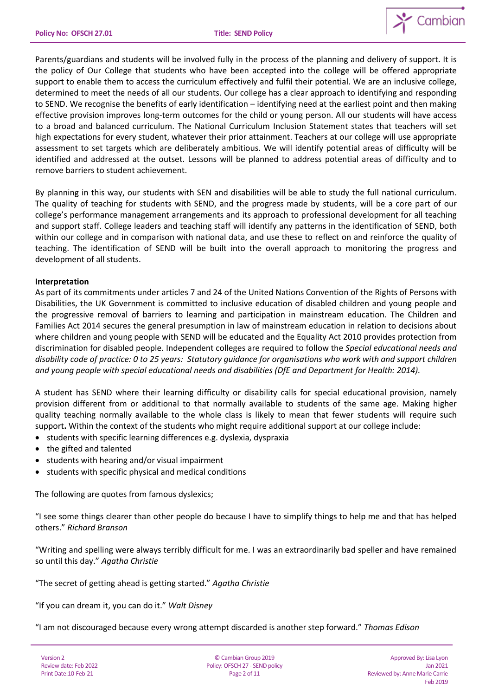

Parents/guardians and students will be involved fully in the process of the planning and delivery of support. It is the policy of Our College that students who have been accepted into the college will be offered appropriate support to enable them to access the curriculum effectively and fulfil their potential. We are an inclusive college, determined to meet the needs of all our students. Our college has a clear approach to identifying and responding to SEND. We recognise the benefits of early identification – identifying need at the earliest point and then making effective provision improves long-term outcomes for the child or young person. All our students will have access to a broad and balanced curriculum. The National Curriculum Inclusion Statement states that teachers will set high expectations for every student, whatever their prior attainment. Teachers at our college will use appropriate assessment to set targets which are deliberately ambitious. We will identify potential areas of difficulty will be identified and addressed at the outset. Lessons will be planned to address potential areas of difficulty and to remove barriers to student achievement.

By planning in this way, our students with SEN and disabilities will be able to study the full national curriculum. The quality of teaching for students with SEND, and the progress made by students, will be a core part of our college's performance management arrangements and its approach to professional development for all teaching and support staff. College leaders and teaching staff will identify any patterns in the identification of SEND, both within our college and in comparison with national data, and use these to reflect on and reinforce the quality of teaching. The identification of SEND will be built into the overall approach to monitoring the progress and development of all students.

## **Interpretation**

As part of its commitments under articles 7 and 24 of the United Nations Convention of the Rights of Persons with Disabilities, the UK Government is committed to inclusive education of disabled children and young people and the progressive removal of barriers to learning and participation in mainstream education. The Children and Families Act 2014 secures the general presumption in law of mainstream education in relation to decisions about where children and young people with SEND will be educated and the Equality Act 2010 provides protection from discrimination for disabled people. Independent colleges are required to follow the *Special educational needs and disability code of practice: 0 to 25 years: Statutory guidance for organisations who work with and support children and young people with special educational needs and disabilities (DfE and Department for Health: 2014).*

A student has SEND where their learning difficulty or disability calls for special educational provision, namely provision different from or additional to that normally available to students of the same age. Making higher quality teaching normally available to the whole class is likely to mean that fewer students will require such support**.** Within the context of the students who might require additional support at our college include:

- students with specific learning differences e.g. dyslexia, dyspraxia
- the gifted and talented
- students with hearing and/or visual impairment
- students with specific physical and medical conditions

The following are quotes from famous dyslexics;

"I see some things clearer than other people do because I have to simplify things to help me and that has helped others." *Richard Branson*

"Writing and spelling were always terribly difficult for me. I was an extraordinarily bad speller and have remained so until this day." *Agatha Christie*

"The secret of getting ahead is getting started." *Agatha Christie*

"If you can dream it, you can do it." *Walt Disney*

"I am not discouraged because every wrong attempt discarded is another step forward." *Thomas Edison*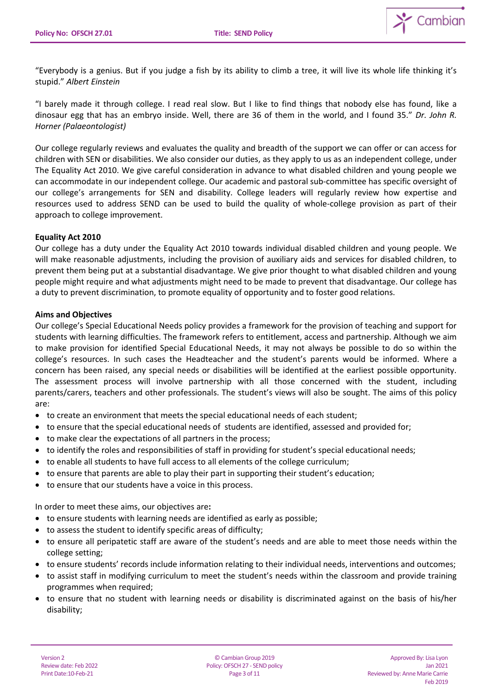

"Everybody is a genius. But if you judge a fish by its ability to climb a tree, it will live its whole life thinking it's stupid." *Albert Einstein*

"I barely made it through college. I read real slow. But I like to find things that nobody else has found, like a dinosaur egg that has an embryo inside. Well, there are 36 of them in the world, and I found 35." *Dr. John R. Horner (Palaeontologist)*

Our college regularly reviews and evaluates the quality and breadth of the support we can offer or can access for children with SEN or disabilities. We also consider our duties, as they apply to us as an independent college, under The Equality Act 2010. We give careful consideration in advance to what disabled children and young people we can accommodate in our independent college. Our academic and pastoral sub-committee has specific oversight of our college's arrangements for SEN and disability. College leaders will regularly review how expertise and resources used to address SEND can be used to build the quality of whole-college provision as part of their approach to college improvement.

## **Equality Act 2010**

Our college has a duty under the Equality Act 2010 towards individual disabled children and young people. We will make reasonable adjustments, including the provision of auxiliary aids and services for disabled children, to prevent them being put at a substantial disadvantage. We give prior thought to what disabled children and young people might require and what adjustments might need to be made to prevent that disadvantage. Our college has a duty to prevent discrimination, to promote equality of opportunity and to foster good relations.

## **Aims and Objectives**

Our college's Special Educational Needs policy provides a framework for the provision of teaching and support for students with learning difficulties. The framework refers to entitlement, access and partnership. Although we aim to make provision for identified Special Educational Needs, it may not always be possible to do so within the college's resources. In such cases the Headteacher and the student's parents would be informed. Where a concern has been raised, any special needs or disabilities will be identified at the earliest possible opportunity. The assessment process will involve partnership with all those concerned with the student, including parents/carers, teachers and other professionals. The student's views will also be sought. The aims of this policy are:

- to create an environment that meets the special educational needs of each student;
- to ensure that the special educational needs of students are identified, assessed and provided for;
- to make clear the expectations of all partners in the process;
- to identify the roles and responsibilities of staff in providing for student's special educational needs;
- to enable all students to have full access to all elements of the college curriculum;
- to ensure that parents are able to play their part in supporting their student's education;
- to ensure that our students have a voice in this process.

In order to meet these aims, our objectives are**:** 

- to ensure students with learning needs are identified as early as possible;
- to assess the student to identify specific areas of difficulty;
- to ensure all peripatetic staff are aware of the student's needs and are able to meet those needs within the college setting;
- to ensure students' records include information relating to their individual needs, interventions and outcomes;
- to assist staff in modifying curriculum to meet the student's needs within the classroom and provide training programmes when required;
- to ensure that no student with learning needs or disability is discriminated against on the basis of his/her disability;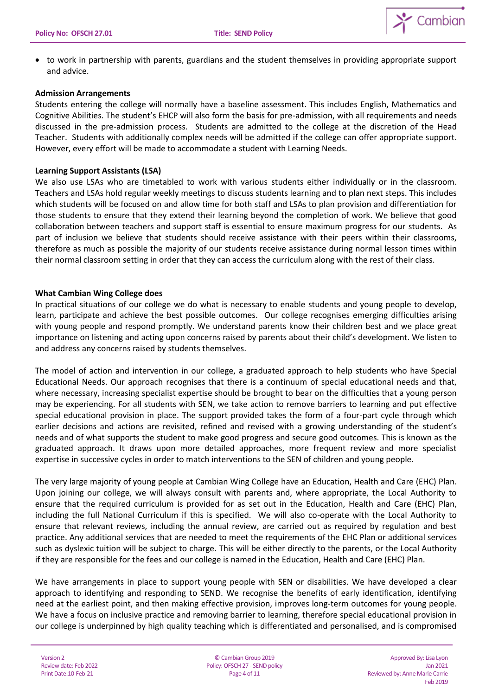

 to work in partnership with parents, guardians and the student themselves in providing appropriate support and advice.

## **Admission Arrangements**

Students entering the college will normally have a baseline assessment. This includes English, Mathematics and Cognitive Abilities. The student's EHCP will also form the basis for pre-admission, with all requirements and needs discussed in the pre-admission process. Students are admitted to the college at the discretion of the Head Teacher. Students with additionally complex needs will be admitted if the college can offer appropriate support. However, every effort will be made to accommodate a student with Learning Needs.

## **Learning Support Assistants (LSA)**

We also use LSAs who are timetabled to work with various students either individually or in the classroom. Teachers and LSAs hold regular weekly meetings to discuss students learning and to plan next steps. This includes which students will be focused on and allow time for both staff and LSAs to plan provision and differentiation for those students to ensure that they extend their learning beyond the completion of work. We believe that good collaboration between teachers and support staff is essential to ensure maximum progress for our students. As part of inclusion we believe that students should receive assistance with their peers within their classrooms, therefore as much as possible the majority of our students receive assistance during normal lesson times within their normal classroom setting in order that they can access the curriculum along with the rest of their class.

## **What Cambian Wing College does**

In practical situations of our college we do what is necessary to enable students and young people to develop, learn, participate and achieve the best possible outcomes. Our college recognises emerging difficulties arising with young people and respond promptly. We understand parents know their children best and we place great importance on listening and acting upon concerns raised by parents about their child's development. We listen to and address any concerns raised by students themselves.

The model of action and intervention in our college, a graduated approach to help students who have Special Educational Needs. Our approach recognises that there is a continuum of special educational needs and that, where necessary, increasing specialist expertise should be brought to bear on the difficulties that a young person may be experiencing. For all students with SEN, we take action to remove barriers to learning and put effective special educational provision in place. The support provided takes the form of a four-part cycle through which earlier decisions and actions are revisited, refined and revised with a growing understanding of the student's needs and of what supports the student to make good progress and secure good outcomes. This is known as the graduated approach. It draws upon more detailed approaches, more frequent review and more specialist expertise in successive cycles in order to match interventions to the SEN of children and young people.

The very large majority of young people at Cambian Wing College have an Education, Health and Care (EHC) Plan. Upon joining our college, we will always consult with parents and, where appropriate, the Local Authority to ensure that the required curriculum is provided for as set out in the Education, Health and Care (EHC) Plan, including the full National Curriculum if this is specified. We will also co-operate with the Local Authority to ensure that relevant reviews, including the annual review, are carried out as required by regulation and best practice. Any additional services that are needed to meet the requirements of the EHC Plan or additional services such as dyslexic tuition will be subject to charge. This will be either directly to the parents, or the Local Authority if they are responsible for the fees and our college is named in the Education, Health and Care (EHC) Plan.

We have arrangements in place to support young people with SEN or disabilities. We have developed a clear approach to identifying and responding to SEND. We recognise the benefits of early identification, identifying need at the earliest point, and then making effective provision, improves long-term outcomes for young people. We have a focus on inclusive practice and removing barrier to learning, therefore special educational provision in our college is underpinned by high quality teaching which is differentiated and personalised, and is compromised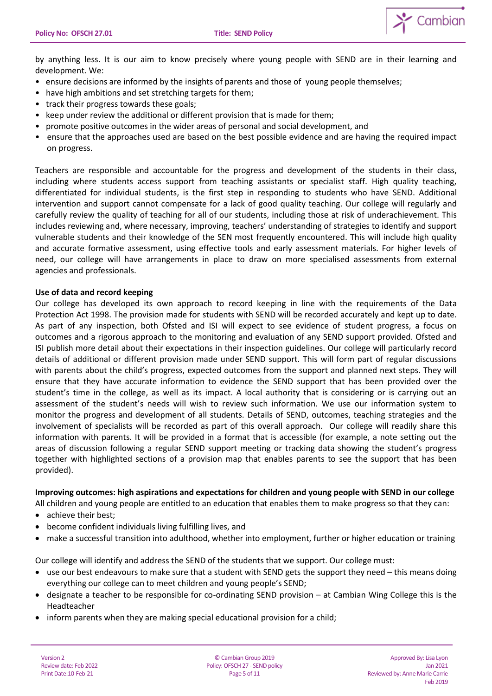

by anything less. It is our aim to know precisely where young people with SEND are in their learning and development. We:

- ensure decisions are informed by the insights of parents and those of young people themselves;
- have high ambitions and set stretching targets for them;
- track their progress towards these goals;
- keep under review the additional or different provision that is made for them:
- promote positive outcomes in the wider areas of personal and social development, and
- ensure that the approaches used are based on the best possible evidence and are having the required impact on progress.

Teachers are responsible and accountable for the progress and development of the students in their class, including where students access support from teaching assistants or specialist staff. High quality teaching, differentiated for individual students, is the first step in responding to students who have SEND. Additional intervention and support cannot compensate for a lack of good quality teaching. Our college will regularly and carefully review the quality of teaching for all of our students, including those at risk of underachievement. This includes reviewing and, where necessary, improving, teachers' understanding of strategies to identify and support vulnerable students and their knowledge of the SEN most frequently encountered. This will include high quality and accurate formative assessment, using effective tools and early assessment materials. For higher levels of need, our college will have arrangements in place to draw on more specialised assessments from external agencies and professionals.

## **Use of data and record keeping**

Our college has developed its own approach to record keeping in line with the requirements of the Data Protection Act 1998. The provision made for students with SEND will be recorded accurately and kept up to date. As part of any inspection, both Ofsted and ISI will expect to see evidence of student progress, a focus on outcomes and a rigorous approach to the monitoring and evaluation of any SEND support provided. Ofsted and ISI publish more detail about their expectations in their inspection guidelines. Our college will particularly record details of additional or different provision made under SEND support. This will form part of regular discussions with parents about the child's progress, expected outcomes from the support and planned next steps. They will ensure that they have accurate information to evidence the SEND support that has been provided over the student's time in the college, as well as its impact. A local authority that is considering or is carrying out an assessment of the student's needs will wish to review such information. We use our information system to monitor the progress and development of all students. Details of SEND, outcomes, teaching strategies and the involvement of specialists will be recorded as part of this overall approach. Our college will readily share this information with parents. It will be provided in a format that is accessible (for example, a note setting out the areas of discussion following a regular SEND support meeting or tracking data showing the student's progress together with highlighted sections of a provision map that enables parents to see the support that has been provided).

### **Improving outcomes: high aspirations and expectations for children and young people with SEND in our college**

All children and young people are entitled to an education that enables them to make progress so that they can:

- achieve their best;
- become confident individuals living fulfilling lives, and
- make a successful transition into adulthood, whether into employment, further or higher education or training

Our college will identify and address the SEND of the students that we support. Our college must:

- use our best endeavours to make sure that a student with SEND gets the support they need this means doing everything our college can to meet children and young people's SEND;
- designate a teacher to be responsible for co-ordinating SEND provision at Cambian Wing College this is the Headteacher
- inform parents when they are making special educational provision for a child;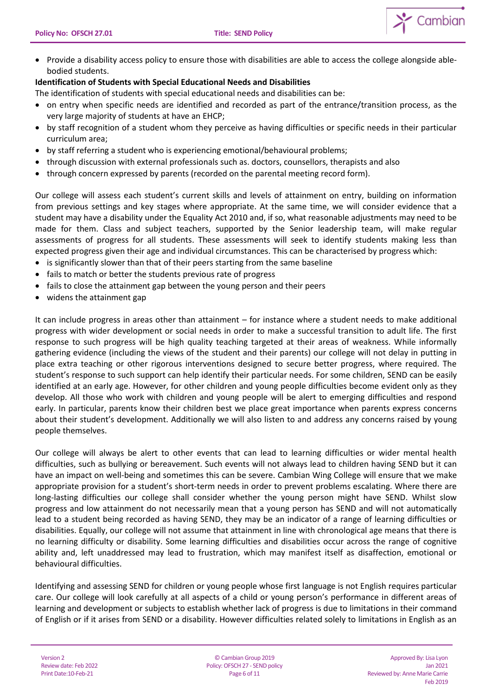

• Provide a disability access policy to ensure those with disabilities are able to access the college alongside ablebodied students.

# **Identification of Students with Special Educational Needs and Disabilities**

The identification of students with special educational needs and disabilities can be:

- on entry when specific needs are identified and recorded as part of the entrance/transition process, as the very large majority of students at have an EHCP;
- by staff recognition of a student whom they perceive as having difficulties or specific needs in their particular curriculum area;
- by staff referring a student who is experiencing emotional/behavioural problems;
- through discussion with external professionals such as. doctors, counsellors, therapists and also
- through concern expressed by parents (recorded on the parental meeting record form).

Our college will assess each student's current skills and levels of attainment on entry, building on information from previous settings and key stages where appropriate. At the same time, we will consider evidence that a student may have a disability under the Equality Act 2010 and, if so, what reasonable adjustments may need to be made for them. Class and subject teachers, supported by the Senior leadership team, will make regular assessments of progress for all students. These assessments will seek to identify students making less than expected progress given their age and individual circumstances. This can be characterised by progress which:

- is significantly slower than that of their peers starting from the same baseline
- fails to match or better the students previous rate of progress
- fails to close the attainment gap between the young person and their peers
- widens the attainment gap

It can include progress in areas other than attainment – for instance where a student needs to make additional progress with wider development or social needs in order to make a successful transition to adult life. The first response to such progress will be high quality teaching targeted at their areas of weakness. While informally gathering evidence (including the views of the student and their parents) our college will not delay in putting in place extra teaching or other rigorous interventions designed to secure better progress, where required. The student's response to such support can help identify their particular needs. For some children, SEND can be easily identified at an early age. However, for other children and young people difficulties become evident only as they develop. All those who work with children and young people will be alert to emerging difficulties and respond early. In particular, parents know their children best we place great importance when parents express concerns about their student's development. Additionally we will also listen to and address any concerns raised by young people themselves.

Our college will always be alert to other events that can lead to learning difficulties or wider mental health difficulties, such as bullying or bereavement. Such events will not always lead to children having SEND but it can have an impact on well-being and sometimes this can be severe. Cambian Wing College will ensure that we make appropriate provision for a student's short-term needs in order to prevent problems escalating. Where there are long-lasting difficulties our college shall consider whether the young person might have SEND. Whilst slow progress and low attainment do not necessarily mean that a young person has SEND and will not automatically lead to a student being recorded as having SEND, they may be an indicator of a range of learning difficulties or disabilities. Equally, our college will not assume that attainment in line with chronological age means that there is no learning difficulty or disability. Some learning difficulties and disabilities occur across the range of cognitive ability and, left unaddressed may lead to frustration, which may manifest itself as disaffection, emotional or behavioural difficulties.

Identifying and assessing SEND for children or young people whose first language is not English requires particular care. Our college will look carefully at all aspects of a child or young person's performance in different areas of learning and development or subjects to establish whether lack of progress is due to limitations in their command of English or if it arises from SEND or a disability. However difficulties related solely to limitations in English as an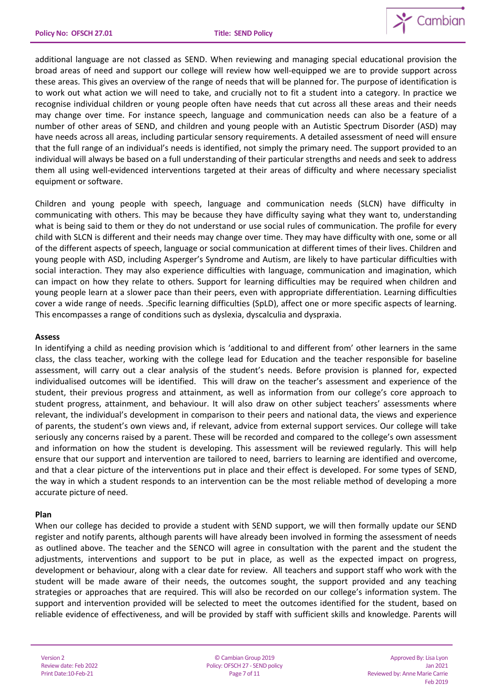

additional language are not classed as SEND. When reviewing and managing special educational provision the broad areas of need and support our college will review how well-equipped we are to provide support across these areas. This gives an overview of the range of needs that will be planned for. The purpose of identification is to work out what action we will need to take, and crucially not to fit a student into a category. In practice we recognise individual children or young people often have needs that cut across all these areas and their needs may change over time. For instance speech, language and communication needs can also be a feature of a number of other areas of SEND, and children and young people with an Autistic Spectrum Disorder (ASD) may have needs across all areas, including particular sensory requirements. A detailed assessment of need will ensure that the full range of an individual's needs is identified, not simply the primary need. The support provided to an individual will always be based on a full understanding of their particular strengths and needs and seek to address them all using well-evidenced interventions targeted at their areas of difficulty and where necessary specialist equipment or software.

Children and young people with speech, language and communication needs (SLCN) have difficulty in communicating with others. This may be because they have difficulty saying what they want to, understanding what is being said to them or they do not understand or use social rules of communication. The profile for every child with SLCN is different and their needs may change over time. They may have difficulty with one, some or all of the different aspects of speech, language or social communication at different times of their lives. Children and young people with ASD, including Asperger's Syndrome and Autism, are likely to have particular difficulties with social interaction. They may also experience difficulties with language, communication and imagination, which can impact on how they relate to others. Support for learning difficulties may be required when children and young people learn at a slower pace than their peers, even with appropriate differentiation. Learning difficulties cover a wide range of needs. .Specific learning difficulties (SpLD), affect one or more specific aspects of learning. This encompasses a range of conditions such as dyslexia, dyscalculia and dyspraxia.

## **Assess**

In identifying a child as needing provision which is 'additional to and different from' other learners in the same class, the class teacher, working with the college lead for Education and the teacher responsible for baseline assessment, will carry out a clear analysis of the student's needs. Before provision is planned for, expected individualised outcomes will be identified. This will draw on the teacher's assessment and experience of the student, their previous progress and attainment, as well as information from our college's core approach to student progress, attainment, and behaviour. It will also draw on other subject teachers' assessments where relevant, the individual's development in comparison to their peers and national data, the views and experience of parents, the student's own views and, if relevant, advice from external support services. Our college will take seriously any concerns raised by a parent. These will be recorded and compared to the college's own assessment and information on how the student is developing. This assessment will be reviewed regularly. This will help ensure that our support and intervention are tailored to need, barriers to learning are identified and overcome, and that a clear picture of the interventions put in place and their effect is developed. For some types of SEND, the way in which a student responds to an intervention can be the most reliable method of developing a more accurate picture of need.

#### **Plan**

When our college has decided to provide a student with SEND support, we will then formally update our SEND register and notify parents, although parents will have already been involved in forming the assessment of needs as outlined above. The teacher and the SENCO will agree in consultation with the parent and the student the adjustments, interventions and support to be put in place, as well as the expected impact on progress, development or behaviour, along with a clear date for review. All teachers and support staff who work with the student will be made aware of their needs, the outcomes sought, the support provided and any teaching strategies or approaches that are required. This will also be recorded on our college's information system. The support and intervention provided will be selected to meet the outcomes identified for the student, based on reliable evidence of effectiveness, and will be provided by staff with sufficient skills and knowledge. Parents will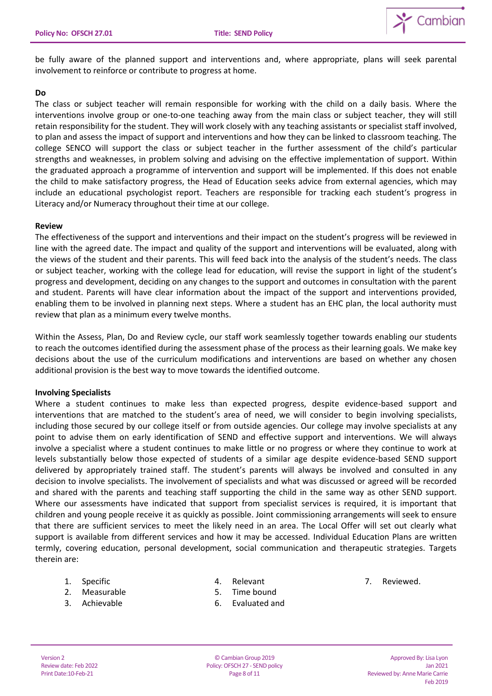

be fully aware of the planned support and interventions and, where appropriate, plans will seek parental involvement to reinforce or contribute to progress at home.

### **Do**

The class or subject teacher will remain responsible for working with the child on a daily basis. Where the interventions involve group or one-to-one teaching away from the main class or subject teacher, they will still retain responsibility for the student. They will work closely with any teaching assistants or specialist staff involved, to plan and assess the impact of support and interventions and how they can be linked to classroom teaching. The college SENCO will support the class or subject teacher in the further assessment of the child's particular strengths and weaknesses, in problem solving and advising on the effective implementation of support. Within the graduated approach a programme of intervention and support will be implemented. If this does not enable the child to make satisfactory progress, the Head of Education seeks advice from external agencies, which may include an educational psychologist report. Teachers are responsible for tracking each student's progress in Literacy and/or Numeracy throughout their time at our college.

## **Review**

The effectiveness of the support and interventions and their impact on the student's progress will be reviewed in line with the agreed date. The impact and quality of the support and interventions will be evaluated, along with the views of the student and their parents. This will feed back into the analysis of the student's needs. The class or subject teacher, working with the college lead for education, will revise the support in light of the student's progress and development, deciding on any changes to the support and outcomes in consultation with the parent and student. Parents will have clear information about the impact of the support and interventions provided, enabling them to be involved in planning next steps. Where a student has an EHC plan, the local authority must review that plan as a minimum every twelve months.

Within the Assess, Plan, Do and Review cycle, our staff work seamlessly together towards enabling our students to reach the outcomes identified during the assessment phase of the process as their learning goals. We make key decisions about the use of the curriculum modifications and interventions are based on whether any chosen additional provision is the best way to move towards the identified outcome.

## **Involving Specialists**

Where a student continues to make less than expected progress, despite evidence-based support and interventions that are matched to the student's area of need, we will consider to begin involving specialists, including those secured by our college itself or from outside agencies. Our college may involve specialists at any point to advise them on early identification of SEND and effective support and interventions. We will always involve a specialist where a student continues to make little or no progress or where they continue to work at levels substantially below those expected of students of a similar age despite evidence-based SEND support delivered by appropriately trained staff. The student's parents will always be involved and consulted in any decision to involve specialists. The involvement of specialists and what was discussed or agreed will be recorded and shared with the parents and teaching staff supporting the child in the same way as other SEND support. Where our assessments have indicated that support from specialist services is required, it is important that children and young people receive it as quickly as possible. Joint commissioning arrangements will seek to ensure that there are sufficient services to meet the likely need in an area. The Local Offer will set out clearly what support is available from different services and how it may be accessed. Individual Education Plans are written termly, covering education, personal development, social communication and therapeutic strategies. Targets therein are:

- 1. Specific
- 2. Measurable
- 3. Achievable

4. Relevant

7. Reviewed.

- 5. Time bound
- 6. Evaluated and

© Cambian Group 2019 Policy: OFSCH 27 - SEND policy Page 8 of 11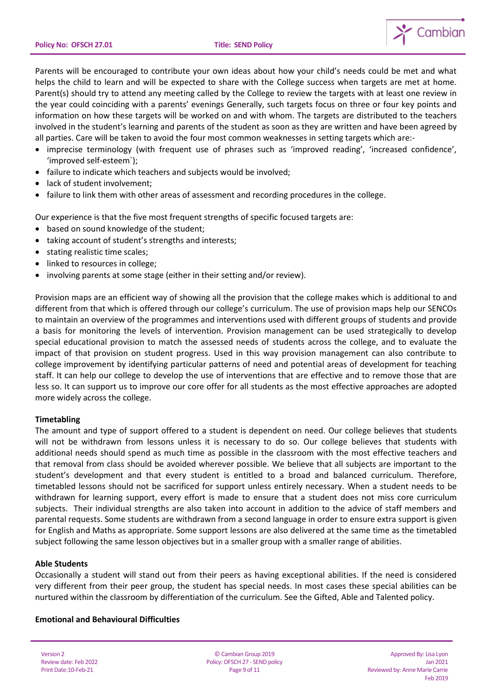

Parents will be encouraged to contribute your own ideas about how your child's needs could be met and what helps the child to learn and will be expected to share with the College success when targets are met at home. Parent(s) should try to attend any meeting called by the College to review the targets with at least one review in the year could coinciding with a parents' evenings Generally, such targets focus on three or four key points and information on how these targets will be worked on and with whom. The targets are distributed to the teachers involved in the student's learning and parents of the student as soon as they are written and have been agreed by all parties. Care will be taken to avoid the four most common weaknesses in setting targets which are:-

- imprecise terminology (with frequent use of phrases such as 'improved reading', 'increased confidence', 'improved self-esteem`);
- failure to indicate which teachers and subjects would be involved;
- lack of student involvement;
- failure to link them with other areas of assessment and recording procedures in the college.

Our experience is that the five most frequent strengths of specific focused targets are:

- based on sound knowledge of the student;
- taking account of student's strengths and interests;
- stating realistic time scales;
- linked to resources in college;
- involving parents at some stage (either in their setting and/or review).

Provision maps are an efficient way of showing all the provision that the college makes which is additional to and different from that which is offered through our college's curriculum. The use of provision maps help our SENCOs to maintain an overview of the programmes and interventions used with different groups of students and provide a basis for monitoring the levels of intervention. Provision management can be used strategically to develop special educational provision to match the assessed needs of students across the college, and to evaluate the impact of that provision on student progress. Used in this way provision management can also contribute to college improvement by identifying particular patterns of need and potential areas of development for teaching staff. It can help our college to develop the use of interventions that are effective and to remove those that are less so. It can support us to improve our core offer for all students as the most effective approaches are adopted more widely across the college.

## **Timetabling**

The amount and type of support offered to a student is dependent on need. Our college believes that students will not be withdrawn from lessons unless it is necessary to do so. Our college believes that students with additional needs should spend as much time as possible in the classroom with the most effective teachers and that removal from class should be avoided wherever possible. We believe that all subjects are important to the student's development and that every student is entitled to a broad and balanced curriculum. Therefore, timetabled lessons should not be sacrificed for support unless entirely necessary. When a student needs to be withdrawn for learning support, every effort is made to ensure that a student does not miss core curriculum subjects. Their individual strengths are also taken into account in addition to the advice of staff members and parental requests. Some students are withdrawn from a second language in order to ensure extra support is given for English and Maths as appropriate. Some support lessons are also delivered at the same time as the timetabled subject following the same lesson objectives but in a smaller group with a smaller range of abilities.

## **Able Students**

Occasionally a student will stand out from their peers as having exceptional abilities. If the need is considered very different from their peer group, the student has special needs. In most cases these special abilities can be nurtured within the classroom by differentiation of the curriculum. See the Gifted, Able and Talented policy.

#### **Emotional and Behavioural Difficulties**

Version 2 Review date: Feb 2022 Print Date:10-Feb-21

© Cambian Group 2019 Policy: OFSCH 27 - SEND policy Page 9 of 11

Approved By: Lisa Lyon Jan 2021 Reviewed by: Anne Marie Carrie Feb 2019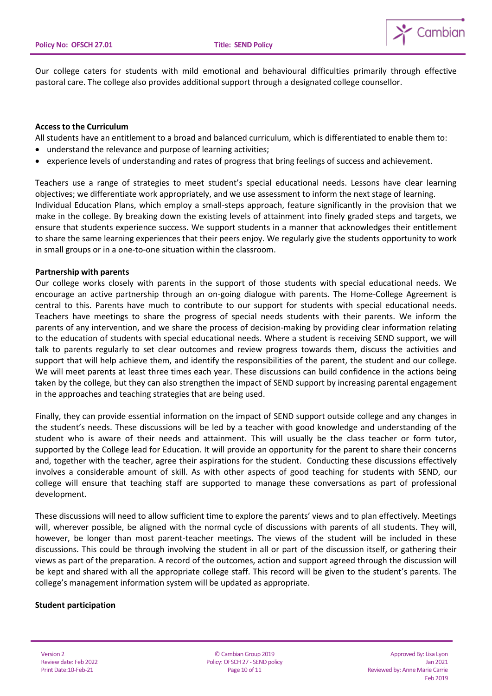

Our college caters for students with mild emotional and behavioural difficulties primarily through effective pastoral care. The college also provides additional support through a designated college counsellor.

### **Access to the Curriculum**

All students have an entitlement to a broad and balanced curriculum, which is differentiated to enable them to:

- understand the relevance and purpose of learning activities;
- experience levels of understanding and rates of progress that bring feelings of success and achievement.

Teachers use a range of strategies to meet student's special educational needs. Lessons have clear learning objectives; we differentiate work appropriately, and we use assessment to inform the next stage of learning. Individual Education Plans, which employ a small-steps approach, feature significantly in the provision that we make in the college. By breaking down the existing levels of attainment into finely graded steps and targets, we ensure that students experience success. We support students in a manner that acknowledges their entitlement to share the same learning experiences that their peers enjoy. We regularly give the students opportunity to work in small groups or in a one-to-one situation within the classroom.

## **Partnership with parents**

Our college works closely with parents in the support of those students with special educational needs. We encourage an active partnership through an on-going dialogue with parents. The Home-College Agreement is central to this. Parents have much to contribute to our support for students with special educational needs. Teachers have meetings to share the progress of special needs students with their parents. We inform the parents of any intervention, and we share the process of decision-making by providing clear information relating to the education of students with special educational needs. Where a student is receiving SEND support, we will talk to parents regularly to set clear outcomes and review progress towards them, discuss the activities and support that will help achieve them, and identify the responsibilities of the parent, the student and our college. We will meet parents at least three times each year. These discussions can build confidence in the actions being taken by the college, but they can also strengthen the impact of SEND support by increasing parental engagement in the approaches and teaching strategies that are being used.

Finally, they can provide essential information on the impact of SEND support outside college and any changes in the student's needs. These discussions will be led by a teacher with good knowledge and understanding of the student who is aware of their needs and attainment. This will usually be the class teacher or form tutor, supported by the College lead for Education. It will provide an opportunity for the parent to share their concerns and, together with the teacher, agree their aspirations for the student. Conducting these discussions effectively involves a considerable amount of skill. As with other aspects of good teaching for students with SEND, our college will ensure that teaching staff are supported to manage these conversations as part of professional development.

These discussions will need to allow sufficient time to explore the parents' views and to plan effectively. Meetings will, wherever possible, be aligned with the normal cycle of discussions with parents of all students. They will, however, be longer than most parent-teacher meetings. The views of the student will be included in these discussions. This could be through involving the student in all or part of the discussion itself, or gathering their views as part of the preparation. A record of the outcomes, action and support agreed through the discussion will be kept and shared with all the appropriate college staff. This record will be given to the student's parents. The college's management information system will be updated as appropriate.

#### **Student participation**

Version 2 Review date: Feb 2022 Print Date:10-Feb-21

© Cambian Group 2019 Policy: OFSCH 27 - SEND policy Page 10 of 11

Approved By: Lisa Lyon Jan 2021 Reviewed by: Anne Marie Carrie Feb 2019